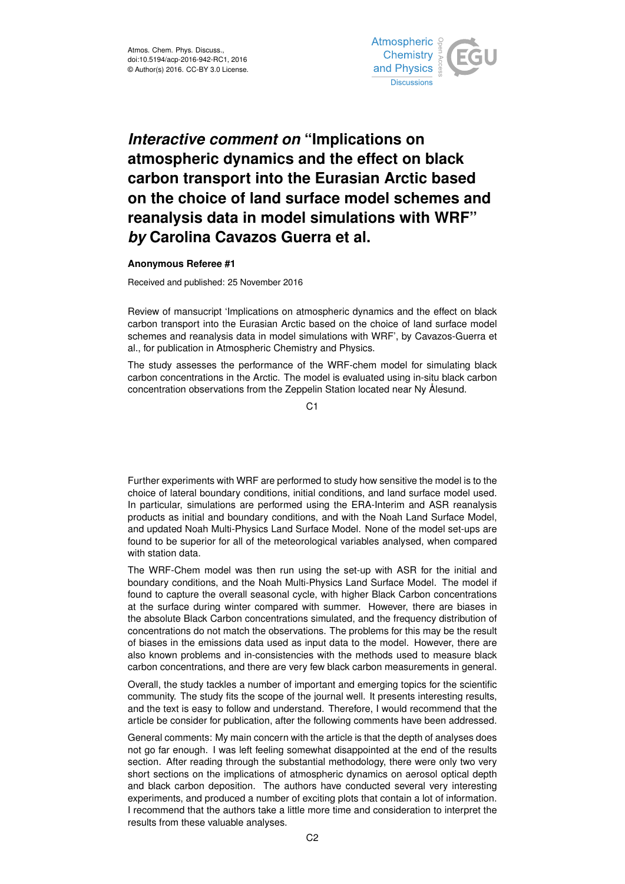

## *Interactive comment on* **"Implications on atmospheric dynamics and the effect on black carbon transport into the Eurasian Arctic based on the choice of land surface model schemes and reanalysis data in model simulations with WRF"** *by* **Carolina Cavazos Guerra et al.**

## **Anonymous Referee #1**

Received and published: 25 November 2016

Review of mansucript 'Implications on atmospheric dynamics and the effect on black carbon transport into the Eurasian Arctic based on the choice of land surface model schemes and reanalysis data in model simulations with WRF', by Cavazos-Guerra et al., for publication in Atmospheric Chemistry and Physics.

The study assesses the performance of the WRF-chem model for simulating black carbon concentrations in the Arctic. The model is evaluated using in-situ black carbon concentration observations from the Zeppelin Station located near Ny Ålesund.

C1

Further experiments with WRF are performed to study how sensitive the model is to the choice of lateral boundary conditions, initial conditions, and land surface model used. In particular, simulations are performed using the ERA-Interim and ASR reanalysis products as initial and boundary conditions, and with the Noah Land Surface Model, and updated Noah Multi-Physics Land Surface Model. None of the model set-ups are found to be superior for all of the meteorological variables analysed, when compared with station data.

The WRF-Chem model was then run using the set-up with ASR for the initial and boundary conditions, and the Noah Multi-Physics Land Surface Model. The model if found to capture the overall seasonal cycle, with higher Black Carbon concentrations at the surface during winter compared with summer. However, there are biases in the absolute Black Carbon concentrations simulated, and the frequency distribution of concentrations do not match the observations. The problems for this may be the result of biases in the emissions data used as input data to the model. However, there are also known problems and in-consistencies with the methods used to measure black carbon concentrations, and there are very few black carbon measurements in general.

Overall, the study tackles a number of important and emerging topics for the scientific community. The study fits the scope of the journal well. It presents interesting results, and the text is easy to follow and understand. Therefore, I would recommend that the article be consider for publication, after the following comments have been addressed.

General comments: My main concern with the article is that the depth of analyses does not go far enough. I was left feeling somewhat disappointed at the end of the results section. After reading through the substantial methodology, there were only two very short sections on the implications of atmospheric dynamics on aerosol optical depth and black carbon deposition. The authors have conducted several very interesting experiments, and produced a number of exciting plots that contain a lot of information. I recommend that the authors take a little more time and consideration to interpret the results from these valuable analyses.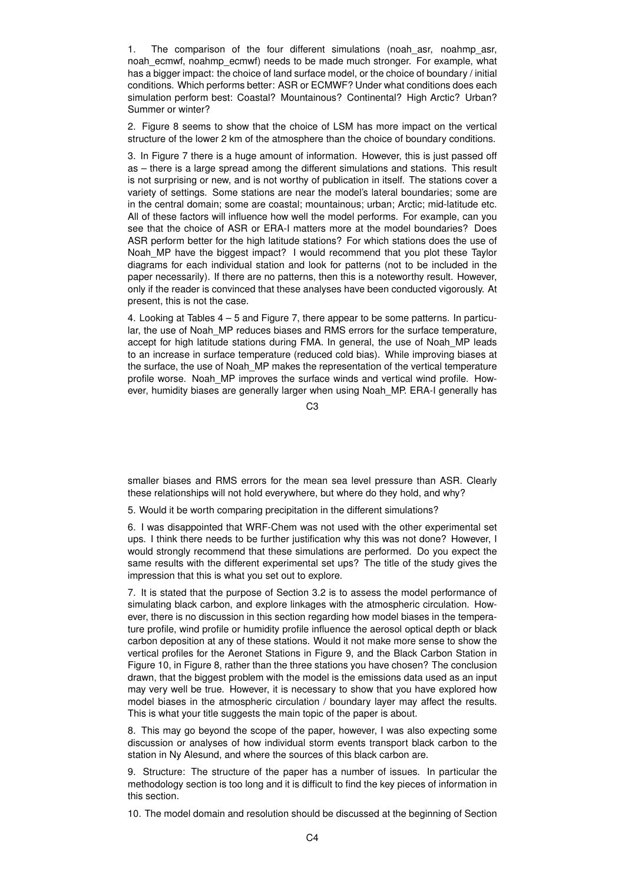1. The comparison of the four different simulations (noah asr, noahmp asr, noah\_ecmwf, noahmp\_ecmwf) needs to be made much stronger. For example, what has a bigger impact: the choice of land surface model, or the choice of boundary / initial conditions. Which performs better: ASR or ECMWF? Under what conditions does each simulation perform best: Coastal? Mountainous? Continental? High Arctic? Urban? Summer or winter?

2. Figure 8 seems to show that the choice of LSM has more impact on the vertical structure of the lower 2 km of the atmosphere than the choice of boundary conditions.

3. In Figure 7 there is a huge amount of information. However, this is just passed off as – there is a large spread among the different simulations and stations. This result is not surprising or new, and is not worthy of publication in itself. The stations cover a variety of settings. Some stations are near the model's lateral boundaries; some are in the central domain; some are coastal; mountainous; urban; Arctic; mid-latitude etc. All of these factors will influence how well the model performs. For example, can you see that the choice of ASR or ERA-I matters more at the model boundaries? Does ASR perform better for the high latitude stations? For which stations does the use of Noah MP have the biggest impact? I would recommend that you plot these Taylor diagrams for each individual station and look for patterns (not to be included in the paper necessarily). If there are no patterns, then this is a noteworthy result. However, only if the reader is convinced that these analyses have been conducted vigorously. At present, this is not the case.

4. Looking at Tables  $4 - 5$  and Figure 7, there appear to be some patterns. In particular, the use of Noah MP reduces biases and RMS errors for the surface temperature, accept for high latitude stations during FMA. In general, the use of Noah MP leads to an increase in surface temperature (reduced cold bias). While improving biases at the surface, the use of Noah\_MP makes the representation of the vertical temperature profile worse. Noah MP improves the surface winds and vertical wind profile. However, humidity biases are generally larger when using Noah\_MP. ERA-I generally has

 $C3$ 

smaller biases and RMS errors for the mean sea level pressure than ASR. Clearly these relationships will not hold everywhere, but where do they hold, and why?

5. Would it be worth comparing precipitation in the different simulations?

6. I was disappointed that WRF-Chem was not used with the other experimental set ups. I think there needs to be further justification why this was not done? However, I would strongly recommend that these simulations are performed. Do you expect the same results with the different experimental set ups? The title of the study gives the impression that this is what you set out to explore.

7. It is stated that the purpose of Section 3.2 is to assess the model performance of simulating black carbon, and explore linkages with the atmospheric circulation. However, there is no discussion in this section regarding how model biases in the temperature profile, wind profile or humidity profile influence the aerosol optical depth or black carbon deposition at any of these stations. Would it not make more sense to show the vertical profiles for the Aeronet Stations in Figure 9, and the Black Carbon Station in Figure 10, in Figure 8, rather than the three stations you have chosen? The conclusion drawn, that the biggest problem with the model is the emissions data used as an input may very well be true. However, it is necessary to show that you have explored how model biases in the atmospheric circulation / boundary layer may affect the results. This is what your title suggests the main topic of the paper is about.

8. This may go beyond the scope of the paper, however, I was also expecting some discussion or analyses of how individual storm events transport black carbon to the station in Ny Alesund, and where the sources of this black carbon are.

9. Structure: The structure of the paper has a number of issues. In particular the methodology section is too long and it is difficult to find the key pieces of information in this section.

10. The model domain and resolution should be discussed at the beginning of Section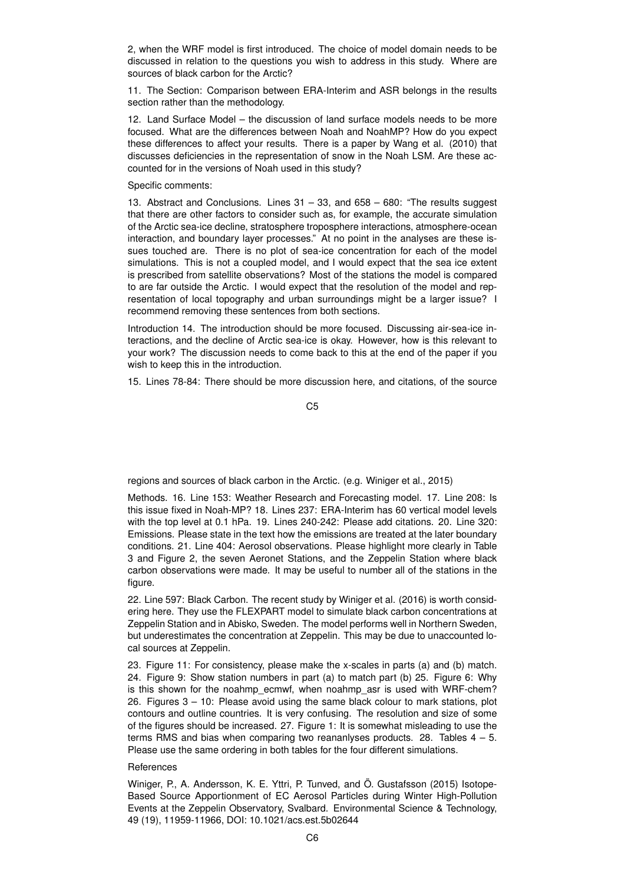2, when the WRF model is first introduced. The choice of model domain needs to be discussed in relation to the questions you wish to address in this study. Where are sources of black carbon for the Arctic?

11. The Section: Comparison between ERA-Interim and ASR belongs in the results section rather than the methodology.

12. Land Surface Model – the discussion of land surface models needs to be more focused. What are the differences between Noah and NoahMP? How do you expect these differences to affect your results. There is a paper by Wang et al. (2010) that discusses deficiencies in the representation of snow in the Noah LSM. Are these accounted for in the versions of Noah used in this study?

Specific comments:

13. Abstract and Conclusions. Lines 31 – 33, and 658 – 680: "The results suggest that there are other factors to consider such as, for example, the accurate simulation of the Arctic sea-ice decline, stratosphere troposphere interactions, atmosphere-ocean interaction, and boundary layer processes." At no point in the analyses are these issues touched are. There is no plot of sea-ice concentration for each of the model simulations. This is not a coupled model, and I would expect that the sea ice extent is prescribed from satellite observations? Most of the stations the model is compared to are far outside the Arctic. I would expect that the resolution of the model and representation of local topography and urban surroundings might be a larger issue? I recommend removing these sentences from both sections.

Introduction 14. The introduction should be more focused. Discussing air-sea-ice interactions, and the decline of Arctic sea-ice is okay. However, how is this relevant to your work? The discussion needs to come back to this at the end of the paper if you wish to keep this in the introduction.

15. Lines 78-84: There should be more discussion here, and citations, of the source

C5

regions and sources of black carbon in the Arctic. (e.g. Winiger et al., 2015)

Methods. 16. Line 153: Weather Research and Forecasting model. 17. Line 208: Is this issue fixed in Noah-MP? 18. Lines 237: ERA-Interim has 60 vertical model levels with the top level at 0.1 hPa. 19. Lines 240-242: Please add citations. 20. Line 320: Emissions. Please state in the text how the emissions are treated at the later boundary conditions. 21. Line 404: Aerosol observations. Please highlight more clearly in Table 3 and Figure 2, the seven Aeronet Stations, and the Zeppelin Station where black carbon observations were made. It may be useful to number all of the stations in the figure.

22. Line 597: Black Carbon. The recent study by Winiger et al. (2016) is worth considering here. They use the FLEXPART model to simulate black carbon concentrations at Zeppelin Station and in Abisko, Sweden. The model performs well in Northern Sweden, but underestimates the concentration at Zeppelin. This may be due to unaccounted local sources at Zeppelin.

23. Figure 11: For consistency, please make the x-scales in parts (a) and (b) match. 24. Figure 9: Show station numbers in part (a) to match part (b) 25. Figure 6: Why is this shown for the noahmp ecmwf, when noahmp asr is used with WRF-chem? 26. Figures 3 – 10: Please avoid using the same black colour to mark stations, plot contours and outline countries. It is very confusing. The resolution and size of some of the figures should be increased. 27. Figure 1: It is somewhat misleading to use the terms RMS and bias when comparing two reananlyses products. 28. Tables 4 – 5. Please use the same ordering in both tables for the four different simulations.

## References

Winiger, P., A. Andersson, K. E. Yttri, P. Tunved, and Ö. Gustafsson (2015) Isotope-Based Source Apportionment of EC Aerosol Particles during Winter High-Pollution Events at the Zeppelin Observatory, Svalbard. Environmental Science & Technology, 49 (19), 11959-11966, DOI: 10.1021/acs.est.5b02644